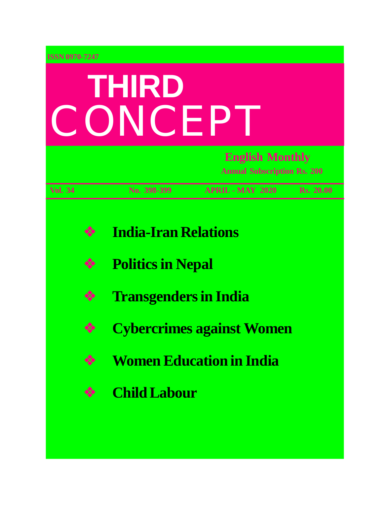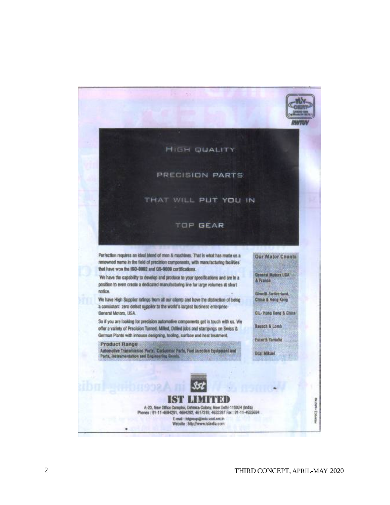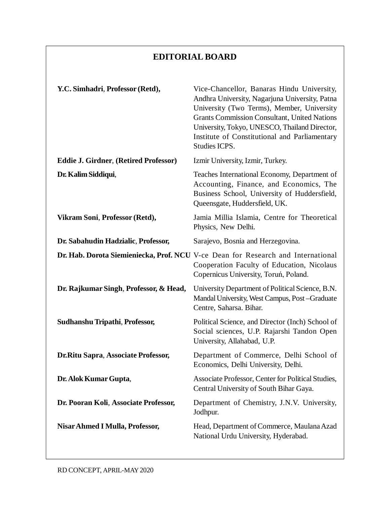### **EDITORIAL BOARD**

| Y.C. Simhadri, Professor (Retd),             | Vice-Chancellor, Banaras Hindu University,<br>Andhra University, Nagarjuna University, Patna<br>University (Two Terms), Member, University<br><b>Grants Commission Consultant, United Nations</b><br>University, Tokyo, UNESCO, Thailand Director,<br>Institute of Constitutional and Parliamentary<br>Studies ICPS. |
|----------------------------------------------|----------------------------------------------------------------------------------------------------------------------------------------------------------------------------------------------------------------------------------------------------------------------------------------------------------------------|
| <b>Eddie J. Girdner, (Retired Professor)</b> | Izmir University, Izmir, Turkey.                                                                                                                                                                                                                                                                                     |
| Dr. Kalim Siddiqui,                          | Teaches International Economy, Department of<br>Accounting, Finance, and Economics, The<br>Business School, University of Huddersfield,<br>Queensgate, Huddersfield, UK.                                                                                                                                             |
| Vikram Soni, Professor (Retd),               | Jamia Millia Islamia, Centre for Theoretical<br>Physics, New Delhi.                                                                                                                                                                                                                                                  |
| Dr. Sabahudin Hadzialic, Professor,          | Sarajevo, Bosnia and Herzegovina.                                                                                                                                                                                                                                                                                    |
|                                              | Dr. Hab. Dorota Siemieniecka, Prof. NCU V-ce Dean for Research and International<br>Cooperation Faculty of Education, Nicolaus<br>Copernicus University, Toruń, Poland.                                                                                                                                              |
| Dr. Rajkumar Singh, Professor, & Head,       | University Department of Political Science, B.N.<br>Mandal University, West Campus, Post-Graduate<br>Centre, Saharsa. Bihar.                                                                                                                                                                                         |
| Sudhanshu Tripathi, Professor,               | Political Science, and Director (Inch) School of<br>Social sciences, U.P. Rajarshi Tandon Open<br>University, Allahabad, U.P.                                                                                                                                                                                        |
| Dr. Ritu Sapra, Associate Professor,         | Department of Commerce, Delhi School of<br>Economics, Delhi University, Delhi.                                                                                                                                                                                                                                       |
| Dr. Alok Kumar Gupta,                        | Associate Professor, Center for Political Studies,<br>Central University of South Bihar Gaya.                                                                                                                                                                                                                        |
| Dr. Pooran Koli, Associate Professor,        | Department of Chemistry, J.N.V. University,<br>Jodhpur.                                                                                                                                                                                                                                                              |
| Nisar Ahmed I Mulla, Professor,              | Head, Department of Commerce, Maulana Azad<br>National Urdu University, Hyderabad.                                                                                                                                                                                                                                   |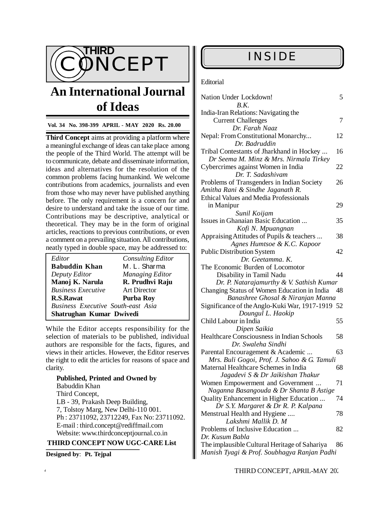

# **An International Journal of Ideas**

#### **Vol. 34 No. 398-399 APRIL - MAY 2020 Rs. 20.00**

**Third Concept** aims at providing a platform where a meaningful exchange of ideas can take place among the people of the Third World. The attempt will be to communicate, debate and disseminate information, ideas and alternatives for the resolution of the common problems facing humankind. We welcome contributions from academics, journalists and even from those who may never have published anything before. The only requirement is a concern for and desire to understand and take the issue of our time. Contributions may be descriptive, analytical or theoretical. They may be in the form of original articles, reactions to previous contributions, or even a comment on a prevailing situation. All contributions, neatly typed in double space, may be addressed to:

| Editor                                    | <b>Consulting Editor</b> |  |
|-------------------------------------------|--------------------------|--|
| <b>Babuddin Khan</b>                      | M. L. Sharma             |  |
| Deputy Editor                             | Managing Editor          |  |
| Manoj K. Narula                           | R. Prudhvi Raju          |  |
| <b>Business Executive</b>                 | <b>Art Director</b>      |  |
| R.S.Rawat                                 | Purba Roy                |  |
| <b>Business Executive South-east Asia</b> |                          |  |
| Shatrughan Kumar Dwivedi                  |                          |  |

While the Editor accepts responsibility for the selection of materials to be published, individual authors are responsible for the facts, figures, and views in their articles. However, the Editor reserves the right to edit the articles for reasons of space and clarity.

### **Published, Printed and Owned by** Babuddin Khan Third Concept, LB - 39, Prakash Deep Building, 7, Tolstoy Marg, New Delhi-110 001. Ph : 23711092, 23712249, Fax No: 23711092. E-mail : [third.concept@rediffmail.com](mailto:third.concept@rediffmail.com) Website: [www.thirdconceptjournal.co.in](http://www.thirdconceptjournal.co.in)

### **THIRD CONCEPT NOW UGC-CARE List**

**Designed by**: **Pt. Tejpal**

#### **Editorial**

| Nation Under Lockdown!<br>B.K.                                                                                         | 5        |
|------------------------------------------------------------------------------------------------------------------------|----------|
| India-Iran Relations: Navigating the<br><b>Current Challenges</b>                                                      | 7        |
| Dr. Farah Naaz<br>Nepal: From Constitutional Monarchy                                                                  | 12       |
| Dr. Badruddin<br>Tribal Contestants of Jharkhand in Hockey<br>Dr Seema M. Minz & Mrs. Nirmala Tirkey                   | 16       |
| Cybercrimes against Women in India<br>Dr. T. Sadashivam                                                                | 22       |
| Problems of Transgenders in Indian Society<br>Amitha Rani & Sindhe Jaganath R.                                         | 26       |
| <b>Ethical Values and Media Professionals</b><br>in Manipur<br>Sunil Koijam                                            | 29       |
| Issues in Ghanaian Basic Education<br>Kofi N. Mpuangnan                                                                | 35       |
| Appraising Attitudes of Pupils & teachers<br>Agnes Humtsoe & K.C. Kapoor                                               | 38       |
| <b>Public Distribution System</b><br>Dr. Geetamma. K.                                                                  | 42       |
| The Economic Burden of Locomotor<br>Disability in Tamil Nadu<br>Dr. P. Natarajamurthy & V. Sathish Kumar               | 44       |
| Changing Status of Women Education in India<br>Banashree Ghosal & Niranjan Manna                                       | 48       |
| Significance of the Anglo-Kuki War, 1917-1919 52<br>Doungul L. Haokip                                                  |          |
| Child Labour in India<br>Dipen Saikia                                                                                  | 55       |
| Healthcare Consciousness in Indian Schools<br>Dr. Swaleha Sindhi                                                       | 58       |
| Parental Encouragement & Academic<br>Mrs. Buli Gogoi, Prof. J. Sahoo & G. Tamuli                                       | 63       |
| Maternal Healthcare Schemes in India<br>Jagadevi S & Dr Jaikishan Thakur                                               | 68       |
| Women Empowerment and Government<br>Naganna Basangouda & Dr Shanta B Astige<br>Quality Enhancement in Higher Education | 71<br>74 |
| Dr S.Y. Margaret & Dr R. P. Kalpana<br>Menstrual Health and Hygiene                                                    | 78       |
| Lakshmi Mallik D. M<br>Problems of Inclusive Education                                                                 | 82       |
| Dr. Kusum Babla<br>The implausible Cultural Heritage of Sahariya<br>Manish Tyagi & Prof. Soubhagya Ranjan Padhi        | 86       |